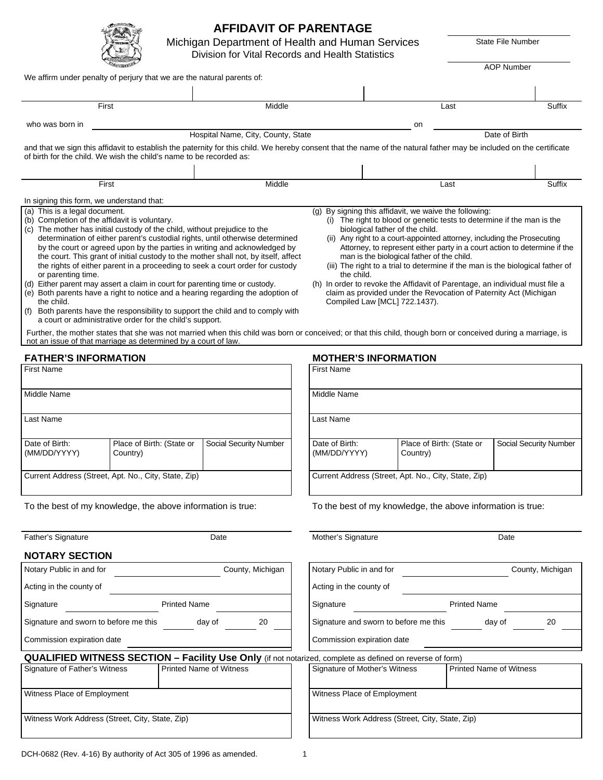|                                                                                                                                                                                                                                                                                                                                                                                                                                                                                                                                                                                                                                                                                                                                                                                                                                                                                                                                                                                                                           | Division for Vital Records and Health Statistics | Michigan Department of Health and Human Services                                                                                                                                                                                                                                                                                                                                                                                                                                                                                                                                                                                                                |      | <b>State File Number</b> |
|---------------------------------------------------------------------------------------------------------------------------------------------------------------------------------------------------------------------------------------------------------------------------------------------------------------------------------------------------------------------------------------------------------------------------------------------------------------------------------------------------------------------------------------------------------------------------------------------------------------------------------------------------------------------------------------------------------------------------------------------------------------------------------------------------------------------------------------------------------------------------------------------------------------------------------------------------------------------------------------------------------------------------|--------------------------------------------------|-----------------------------------------------------------------------------------------------------------------------------------------------------------------------------------------------------------------------------------------------------------------------------------------------------------------------------------------------------------------------------------------------------------------------------------------------------------------------------------------------------------------------------------------------------------------------------------------------------------------------------------------------------------------|------|--------------------------|
|                                                                                                                                                                                                                                                                                                                                                                                                                                                                                                                                                                                                                                                                                                                                                                                                                                                                                                                                                                                                                           |                                                  |                                                                                                                                                                                                                                                                                                                                                                                                                                                                                                                                                                                                                                                                 |      | <b>AOP Number</b>        |
| We affirm under penalty of perjury that we are the natural parents of:                                                                                                                                                                                                                                                                                                                                                                                                                                                                                                                                                                                                                                                                                                                                                                                                                                                                                                                                                    |                                                  |                                                                                                                                                                                                                                                                                                                                                                                                                                                                                                                                                                                                                                                                 |      |                          |
|                                                                                                                                                                                                                                                                                                                                                                                                                                                                                                                                                                                                                                                                                                                                                                                                                                                                                                                                                                                                                           |                                                  |                                                                                                                                                                                                                                                                                                                                                                                                                                                                                                                                                                                                                                                                 |      |                          |
| First                                                                                                                                                                                                                                                                                                                                                                                                                                                                                                                                                                                                                                                                                                                                                                                                                                                                                                                                                                                                                     | Middle                                           |                                                                                                                                                                                                                                                                                                                                                                                                                                                                                                                                                                                                                                                                 | Last | Suffix                   |
| who was born in                                                                                                                                                                                                                                                                                                                                                                                                                                                                                                                                                                                                                                                                                                                                                                                                                                                                                                                                                                                                           |                                                  | on                                                                                                                                                                                                                                                                                                                                                                                                                                                                                                                                                                                                                                                              |      |                          |
|                                                                                                                                                                                                                                                                                                                                                                                                                                                                                                                                                                                                                                                                                                                                                                                                                                                                                                                                                                                                                           | Hospital Name, City, County, State               |                                                                                                                                                                                                                                                                                                                                                                                                                                                                                                                                                                                                                                                                 |      | Date of Birth            |
| and that we sign this affidavit to establish the paternity for this child. We hereby consent that the name of the natural father may be included on the certificate<br>of birth for the child. We wish the child's name to be recorded as:                                                                                                                                                                                                                                                                                                                                                                                                                                                                                                                                                                                                                                                                                                                                                                                |                                                  |                                                                                                                                                                                                                                                                                                                                                                                                                                                                                                                                                                                                                                                                 |      |                          |
|                                                                                                                                                                                                                                                                                                                                                                                                                                                                                                                                                                                                                                                                                                                                                                                                                                                                                                                                                                                                                           |                                                  |                                                                                                                                                                                                                                                                                                                                                                                                                                                                                                                                                                                                                                                                 |      |                          |
| First                                                                                                                                                                                                                                                                                                                                                                                                                                                                                                                                                                                                                                                                                                                                                                                                                                                                                                                                                                                                                     | Middle                                           |                                                                                                                                                                                                                                                                                                                                                                                                                                                                                                                                                                                                                                                                 | Last | Suffix                   |
| In signing this form, we understand that:                                                                                                                                                                                                                                                                                                                                                                                                                                                                                                                                                                                                                                                                                                                                                                                                                                                                                                                                                                                 |                                                  |                                                                                                                                                                                                                                                                                                                                                                                                                                                                                                                                                                                                                                                                 |      |                          |
| (a) This is a legal document.<br>(b) Completion of the affidavit is voluntary.<br>(c) The mother has initial custody of the child, without prejudice to the<br>determination of either parent's custodial rights, until otherwise determined<br>by the court or agreed upon by the parties in writing and acknowledged by<br>the court. This grant of initial custody to the mother shall not, by itself, affect<br>the rights of either parent in a proceeding to seek a court order for custody<br>or parenting time.<br>(d) Either parent may assert a claim in court for parenting time or custody.<br>(e) Both parents have a right to notice and a hearing regarding the adoption of<br>the child.<br>(f) Both parents have the responsibility to support the child and to comply with<br>a court or administrative order for the child's support.<br>Further, the mother states that she was not married when this child was born or conceived; or that this child, though born or conceived during a marriage, is |                                                  | (g) By signing this affidavit, we waive the following:<br>(i) The right to blood or genetic tests to determine if the man is the<br>biological father of the child.<br>(ii) Any right to a court-appointed attorney, including the Prosecuting<br>Attorney, to represent either party in a court action to determine if the<br>man is the biological father of the child.<br>(iii) The right to a trial to determine if the man is the biological father of<br>the child.<br>(h) In order to revoke the Affidavit of Parentage, an individual must file a<br>claim as provided under the Revocation of Paternity Act (Michigan<br>Compiled Law [MCL] 722.1437). |      |                          |
| not an issue of that marriage as determined by a court of law.                                                                                                                                                                                                                                                                                                                                                                                                                                                                                                                                                                                                                                                                                                                                                                                                                                                                                                                                                            |                                                  |                                                                                                                                                                                                                                                                                                                                                                                                                                                                                                                                                                                                                                                                 |      |                          |
| <b>FATHER'S INFORMATION</b>                                                                                                                                                                                                                                                                                                                                                                                                                                                                                                                                                                                                                                                                                                                                                                                                                                                                                                                                                                                               |                                                  | <b>MOTHER'S INFORMATION</b>                                                                                                                                                                                                                                                                                                                                                                                                                                                                                                                                                                                                                                     |      |                          |
| <b>First Name</b>                                                                                                                                                                                                                                                                                                                                                                                                                                                                                                                                                                                                                                                                                                                                                                                                                                                                                                                                                                                                         |                                                  | <b>First Name</b>                                                                                                                                                                                                                                                                                                                                                                                                                                                                                                                                                                                                                                               |      |                          |
| Middle Name                                                                                                                                                                                                                                                                                                                                                                                                                                                                                                                                                                                                                                                                                                                                                                                                                                                                                                                                                                                                               |                                                  | Middle Name                                                                                                                                                                                                                                                                                                                                                                                                                                                                                                                                                                                                                                                     |      |                          |

**AFFIDAVIT OF PARENTAGE** 

| Date of Birth:<br>(MM/DD/YYYY)                       | Place of Birth: (State or<br>Country) | <b>Social Security Number</b> |  |  |
|------------------------------------------------------|---------------------------------------|-------------------------------|--|--|
|                                                      |                                       |                               |  |  |
| Current Address (Street, Apt. No., City, State, Zip) |                                       |                               |  |  |

Last Name Last Name Last Name Last Name Last Name Last Name Last Name Last Name Last Name Last Name Last Name Last Name Last Name Last Name Last Name Last Name Last Name Last Name Last Name Last Name Last Name Last Name La

| Place of Birth: (State or<br>Country) | Social Security Number | Date of Birth:<br>(MM/DD/YYYY) | Place of Birth: (State or<br>Country)                |
|---------------------------------------|------------------------|--------------------------------|------------------------------------------------------|
| et, Apt. No., City, State, Zip)       |                        |                                | Current Address (Street, Apt. No., City, State, Zip) |

To the best of my knowledge, the above information is true: To the best of my knowledge, the above information is true:

拉利酒

## Father's Signature Date Date Date Mother's Signature Date Date

Social Security Number

| Notary Public in and for                        | County, Michigan                                                                                         | Notary Public in and for              | County, Michigan                                |  |
|-------------------------------------------------|----------------------------------------------------------------------------------------------------------|---------------------------------------|-------------------------------------------------|--|
| Acting in the county of                         |                                                                                                          | Acting in the county of               |                                                 |  |
| Signature                                       | <b>Printed Name</b>                                                                                      | Signature                             | <b>Printed Name</b>                             |  |
| Signature and sworn to before me this           | day of<br>20                                                                                             | Signature and sworn to before me this | day of<br>20                                    |  |
| Commission expiration date                      |                                                                                                          | Commission expiration date            |                                                 |  |
|                                                 | QUALIFIED WITNESS SECTION - Facility Use Only (if not notarized, complete as defined on reverse of form) |                                       |                                                 |  |
| Signature of Father's Witness                   | <b>Printed Name of Witness</b>                                                                           | Signature of Mother's Witness         | <b>Printed Name of Witness</b>                  |  |
| Witness Place of Employment                     |                                                                                                          | Witness Place of Employment           |                                                 |  |
| Witness Work Address (Street, City, State, Zip) |                                                                                                          |                                       | Witness Work Address (Street, City, State, Zip) |  |